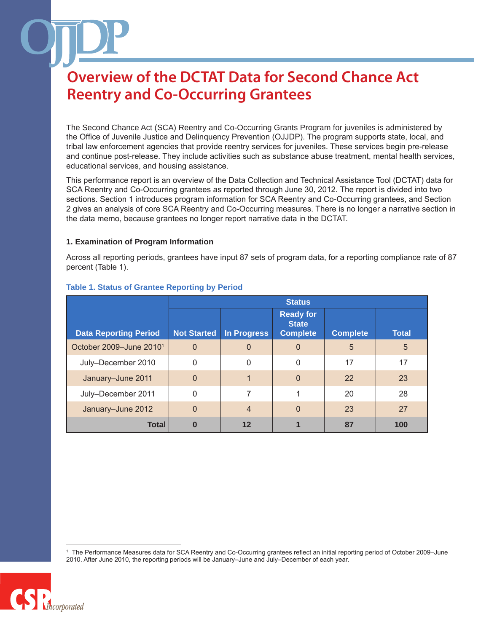The Second Chance Act (SCA) Reentry and Co-Occurring Grants Program for juveniles is administered by the Office of Juvenile Justice and Delinquency Prevention (OJJDP). The program supports state, local, and tribal law enforcement agencies that provide reentry services for juveniles. These services begin pre-release and continue post-release. They include activities such as substance abuse treatment, mental health services, educational services, and housing assistance.

This performance report is an overview of the Data Collection and Technical Assistance Tool (DCTAT) data for SCA Reentry and Co-Occurring grantees as reported through June 30, 2012. The report is divided into two sections. Section 1 introduces program information for SCA Reentry and Co-Occurring grantees, and Section 2 gives an analysis of core SCA Reentry and Co-Occurring measures. There is no longer a narrative section in the data memo, because grantees no longer report narrative data in the DCTAT.

#### **1. Examination of Program Information**

Across all reporting periods, grantees have input 87 sets of program data, for a reporting compliance rate of 87 percent (Table 1).

|                                     | <b>Status</b>      |                |                                                     |                 |              |
|-------------------------------------|--------------------|----------------|-----------------------------------------------------|-----------------|--------------|
| <b>Data Reporting Period</b>        | <b>Not Started</b> | In Progress    | <b>Ready for</b><br><b>State</b><br><b>Complete</b> | <b>Complete</b> | <b>Total</b> |
| October 2009-June 2010 <sup>1</sup> | $\overline{0}$     | $\Omega$       | $\Omega$                                            | 5               | 5            |
| July-December 2010                  | 0                  | $\Omega$       | 0                                                   | 17              | 17           |
| January-June 2011                   | $\overline{0}$     |                | $\Omega$                                            | 22              | 23           |
| July-December 2011                  | $\mathbf{0}$       | 7              |                                                     | 20              | 28           |
| January-June 2012                   | $\overline{0}$     | $\overline{4}$ | $\Omega$                                            | 23              | 27           |
| <b>Total</b>                        | 0                  | 12             |                                                     | 87              | 100          |

### **Table 1. Status of Grantee Reporting by Period**

<sup>1</sup> The Performance Measures data for SCA Reentry and Co-Occurring grantees reflect an initial reporting period of October 2009–June 2010. After June 2010, the reporting periods will be January–June and July–December of each year.

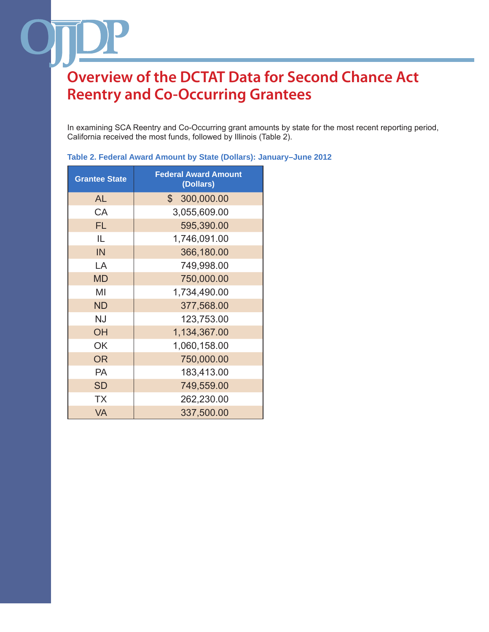In examining SCA Reentry and Co-Occurring grant amounts by state for the most recent reporting period, California received the most funds, followed by Illinois (Table 2).

| <b>Grantee State</b> | <b>Federal Award Amount</b><br>(Dollars) |  |  |
|----------------------|------------------------------------------|--|--|
| AL                   | 300,000.00<br>$\mathbb{S}^-$             |  |  |
| CA                   | 3,055,609.00                             |  |  |
| <b>FL</b>            | 595,390.00                               |  |  |
| IL                   | 1,746,091.00                             |  |  |
| IN                   | 366,180.00                               |  |  |
| LA                   | 749,998.00                               |  |  |
| <b>MD</b>            | 750,000.00                               |  |  |
| MI                   | 1,734,490.00                             |  |  |
| <b>ND</b>            | 377,568.00                               |  |  |
| <b>NJ</b>            | 123,753.00                               |  |  |
| <b>OH</b>            | 1,134,367.00                             |  |  |
| OK                   | 1,060,158.00                             |  |  |
| <b>OR</b>            | 750,000.00                               |  |  |
| PA                   | 183,413.00                               |  |  |
| <b>SD</b>            | 749,559.00                               |  |  |
| TX                   | 262,230.00                               |  |  |
| <b>VA</b>            | 337,500.00                               |  |  |

**Table 2. Federal Award Amount by State (Dollars): January–June 2012**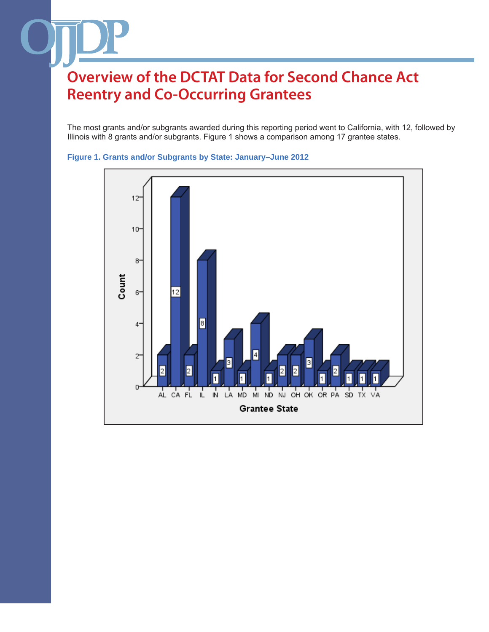The most grants and/or subgrants awarded during this reporting period went to California, with 12, followed by Illinois with 8 grants and/or subgrants. Figure 1 shows a comparison among 17 grantee states.



### **Figure 1. Grants and/or Subgrants by State: January–June 2012**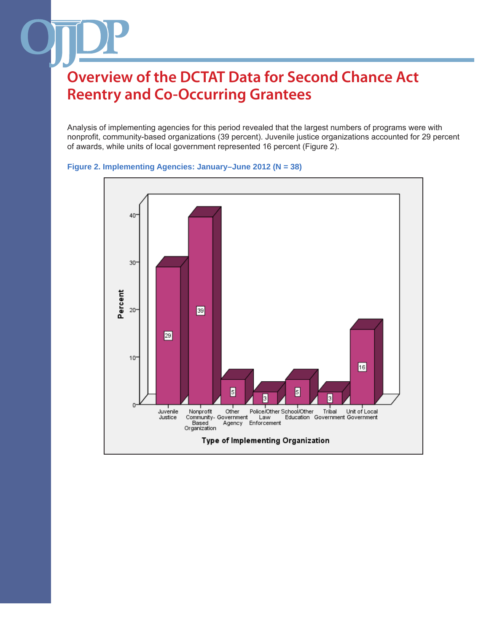Analysis of implementing agencies for this period revealed that the largest numbers of programs were with nonprofit, community-based organizations (39 percent). Juvenile justice organizations accounted for 29 percent of awards, while units of local government represented 16 percent (Figure 2).



#### **Figure 2. Implementing Agencies: January–June 2012 (N = 38)**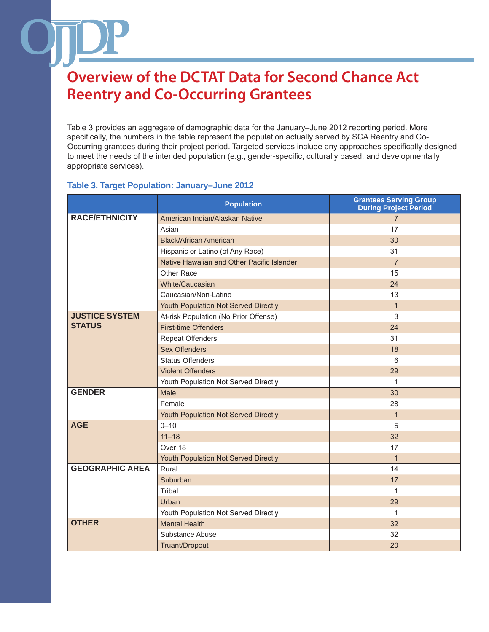Table 3 provides an aggregate of demographic data for the January–June 2012 reporting period. More specifically, the numbers in the table represent the population actually served by SCA Reentry and Co-Occurring grantees during their project period. Targeted services include any approaches specifically designed to meet the needs of the intended population (e.g., gender-specific, culturally based, and developmentally appropriate services).

|                        | <b>Population</b>                          | <b>Grantees Serving Group</b><br><b>During Project Period</b> |
|------------------------|--------------------------------------------|---------------------------------------------------------------|
| <b>RACE/ETHNICITY</b>  | American Indian/Alaskan Native             | $\overline{7}$                                                |
|                        | Asian                                      | 17                                                            |
|                        | <b>Black/African American</b>              | 30                                                            |
|                        | Hispanic or Latino (of Any Race)           | 31                                                            |
|                        | Native Hawaiian and Other Pacific Islander | $\overline{7}$                                                |
|                        | Other Race                                 | 15                                                            |
|                        | <b>White/Caucasian</b>                     | 24                                                            |
|                        | Caucasian/Non-Latino                       | 13                                                            |
|                        | Youth Population Not Served Directly       | $\mathbf 1$                                                   |
| <b>JUSTICE SYSTEM</b>  | At-risk Population (No Prior Offense)      | 3                                                             |
| <b>STATUS</b>          | <b>First-time Offenders</b>                | 24                                                            |
|                        | <b>Repeat Offenders</b>                    | 31                                                            |
|                        | <b>Sex Offenders</b>                       | 18                                                            |
|                        | <b>Status Offenders</b>                    | 6                                                             |
|                        | <b>Violent Offenders</b>                   | 29                                                            |
|                        | Youth Population Not Served Directly       | $\mathbf 1$                                                   |
| <b>GENDER</b>          | Male                                       | 30                                                            |
|                        | Female                                     | 28                                                            |
|                        | Youth Population Not Served Directly       | $\mathbf{1}$                                                  |
| <b>AGE</b>             | $0 - 10$                                   | 5                                                             |
|                        | $11 - 18$                                  | 32                                                            |
|                        | Over 18                                    | 17                                                            |
|                        | Youth Population Not Served Directly       | $\mathbf{1}$                                                  |
| <b>GEOGRAPHIC AREA</b> | Rural                                      | 14                                                            |
|                        | Suburban                                   | 17                                                            |
|                        | Tribal                                     | 1                                                             |
|                        | Urban                                      | 29                                                            |
|                        | Youth Population Not Served Directly       | 1                                                             |
| <b>OTHER</b>           | <b>Mental Health</b>                       | 32                                                            |
|                        | Substance Abuse                            | 32                                                            |
|                        | Truant/Dropout                             | 20                                                            |

### **Table 3. Target Population: January–June 2012**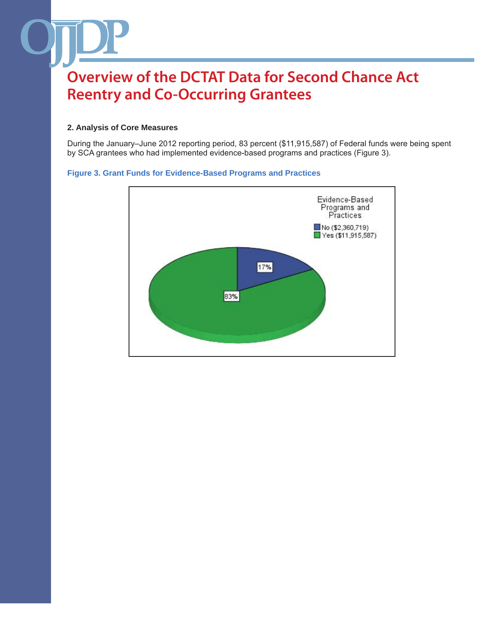### **2. Analysis of Core Measures**

During the January–June 2012 reporting period, 83 percent (\$11,915,587) of Federal funds were being spent by SCA grantees who had implemented evidence-based programs and practices (Figure 3).

#### **Figure 3. Grant Funds for Evidence-Based Programs and Practices**

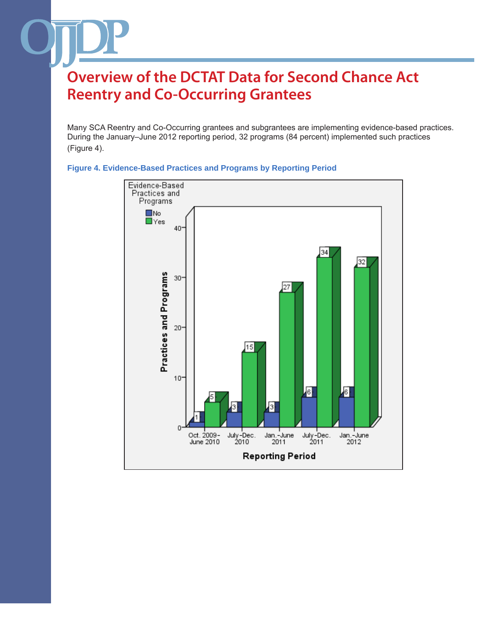Many SCA Reentry and Co-Occurring grantees and subgrantees are implementing evidence-based practices. During the January–June 2012 reporting period, 32 programs (84 percent) implemented such practices (Figure 4).



### **Figure 4. Evidence-Based Practices and Programs by Reporting Period**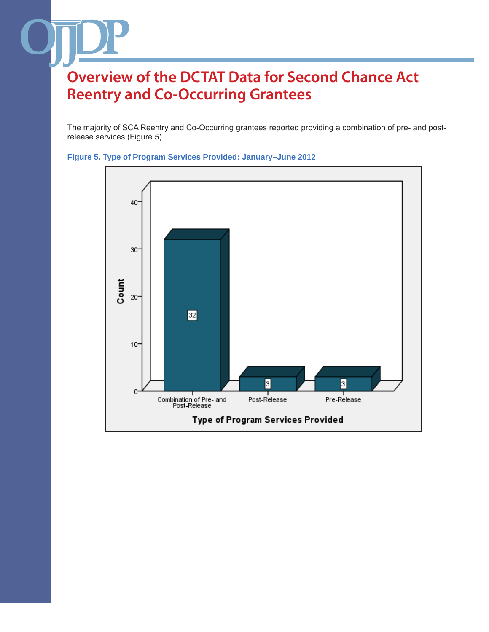The majority of SCA Reentry and Co-Occurring grantees reported providing a combination of pre- and postrelease services (Figure 5).



#### **Figure 5. Type of Program Services Provided: January–June 2012**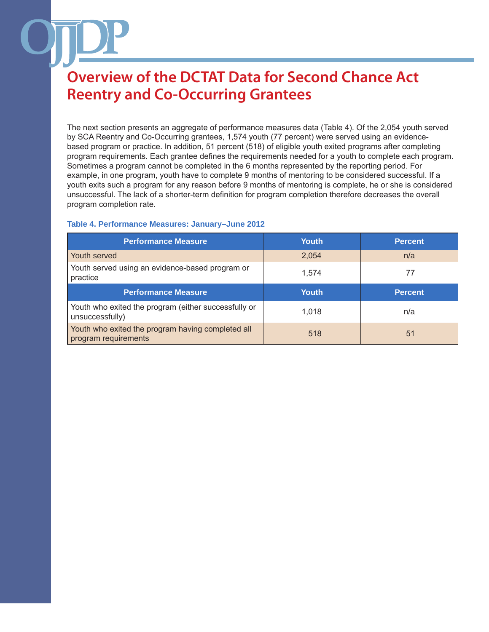The next section presents an aggregate of performance measures data (Table 4). Of the 2,054 youth served by SCA Reentry and Co-Occurring grantees, 1,574 youth (77 percent) were served using an evidencebased program or practice. In addition, 51 percent (518) of eligible youth exited programs after completing program requirements. Each grantee defines the requirements needed for a youth to complete each program. Sometimes a program cannot be completed in the 6 months represented by the reporting period. For example, in one program, youth have to complete 9 months of mentoring to be considered successful. If a youth exits such a program for any reason before 9 months of mentoring is complete, he or she is considered unsuccessful. The lack of a shorter-term definition for program completion therefore decreases the overall program completion rate.

### **Table 4. Performance Measures: January–June 2012**

| <b>Performance Measure</b>                                                | <b>Youth</b> | <b>Percent</b> |
|---------------------------------------------------------------------------|--------------|----------------|
| Youth served                                                              | 2,054        | n/a            |
| Youth served using an evidence-based program or<br>practice               | 1.574        | 77             |
| <b>Performance Measure</b>                                                | Youth        | <b>Percent</b> |
| Youth who exited the program (either successfully or<br>unsuccessfully)   | 1.018        | n/a            |
| Youth who exited the program having completed all<br>program requirements | 518          | 51             |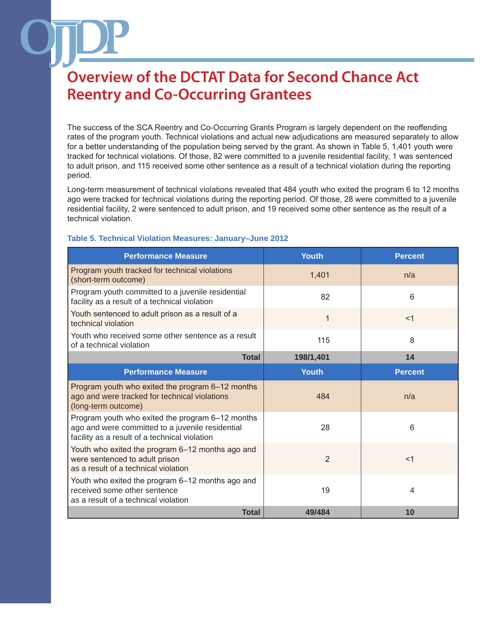The success of the SCA Reentry and Co-Occurring Grants Program is largely dependent on the reoffending rates of the program youth. Technical violations and actual new adjudications are measured separately to allow for a better understanding of the population being served by the grant. As shown in Table 5, 1,401 youth were tracked for technical violations. Of those, 82 were committed to a juvenile residential facility, 1 was sentenced to adult prison, and 115 received some other sentence as a result of a technical violation during the reporting period.

Long-term measurement of technical violations revealed that 484 youth who exited the program 6 to 12 months ago were tracked for technical violations during the reporting period. Of those, 28 were committed to a juvenile residential facility, 2 were sentenced to adult prison, and 19 received some other sentence as the result of a technical violation.

| <b>Performance Measure</b>                                                                                                                            | <b>Youth</b>   | <b>Percent</b> |
|-------------------------------------------------------------------------------------------------------------------------------------------------------|----------------|----------------|
| Program youth tracked for technical violations<br>(short-term outcome)                                                                                | 1,401          | n/a            |
| Program youth committed to a juvenile residential<br>facility as a result of a technical violation                                                    | 82             | 6              |
| Youth sentenced to adult prison as a result of a<br>technical violation                                                                               | 1              | $<$ 1          |
| Youth who received some other sentence as a result<br>of a technical violation                                                                        | 115            | 8              |
| <b>Total</b>                                                                                                                                          | 198/1,401      | 14             |
| <b>Performance Measure</b>                                                                                                                            | Youth          | <b>Percent</b> |
| Program youth who exited the program 6–12 months<br>ago and were tracked for technical violations<br>(long-term outcome)                              | 484            | n/a            |
| Program youth who exited the program 6-12 months<br>ago and were committed to a juvenile residential<br>facility as a result of a technical violation | 28             | 6              |
| Youth who exited the program 6-12 months ago and<br>were sentenced to adult prison<br>as a result of a technical violation                            | $\overline{2}$ | $<$ 1          |
| Youth who exited the program 6-12 months ago and<br>received some other sentence<br>as a result of a technical violation                              | 19             | 4              |
| <b>Total</b>                                                                                                                                          | 49/484         | 10             |

#### **Table 5. Technical Violation Measures: January–June 2012**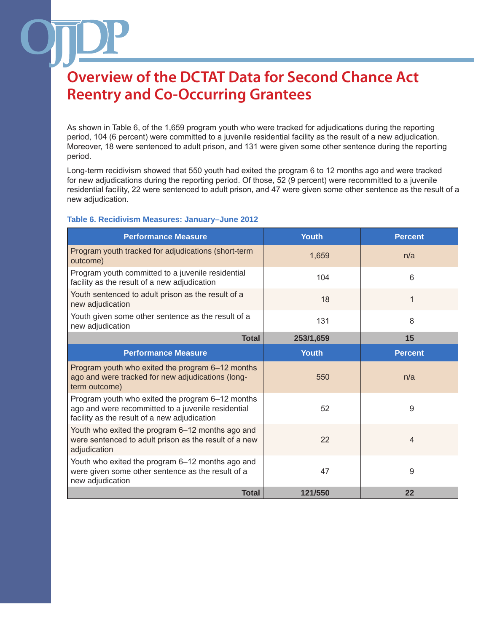As shown in Table 6, of the 1,659 program youth who were tracked for adjudications during the reporting period, 104 (6 percent) were committed to a juvenile residential facility as the result of a new adjudication. Moreover, 18 were sentenced to adult prison, and 131 were given some other sentence during the reporting period.

Long-term recidivism showed that 550 youth had exited the program 6 to 12 months ago and were tracked for new adjudications during the reporting period. Of those, 52 (9 percent) were recommitted to a juvenile residential facility, 22 were sentenced to adult prison, and 47 were given some other sentence as the result of a new adjudication.

#### **Table 6. Recidivism Measures: January–June 2012**

| <b>Performance Measure</b>                                                                                                                             | <b>Youth</b> | <b>Percent</b> |
|--------------------------------------------------------------------------------------------------------------------------------------------------------|--------------|----------------|
| Program youth tracked for adjudications (short-term<br>outcome)                                                                                        | 1,659        | n/a            |
| Program youth committed to a juvenile residential<br>facility as the result of a new adjudication                                                      | 104          | 6              |
| Youth sentenced to adult prison as the result of a<br>new adjudication                                                                                 | 18           | 1              |
| Youth given some other sentence as the result of a<br>new adjudication                                                                                 | 131          | 8              |
| <b>Total</b>                                                                                                                                           | 253/1,659    | 15             |
| <b>Performance Measure</b>                                                                                                                             | <b>Youth</b> | <b>Percent</b> |
| Program youth who exited the program 6-12 months<br>ago and were tracked for new adjudications (long-<br>term outcome)                                 | 550          | n/a            |
| Program youth who exited the program 6-12 months<br>ago and were recommitted to a juvenile residential<br>facility as the result of a new adjudication | 52           | 9              |
| Youth who exited the program 6-12 months ago and<br>were sentenced to adult prison as the result of a new<br>adjudication                              | 22           | $\overline{4}$ |
| Youth who exited the program 6-12 months ago and<br>were given some other sentence as the result of a<br>new adjudication                              | 47           | 9              |
| <b>Total</b>                                                                                                                                           | 121/550      | 22             |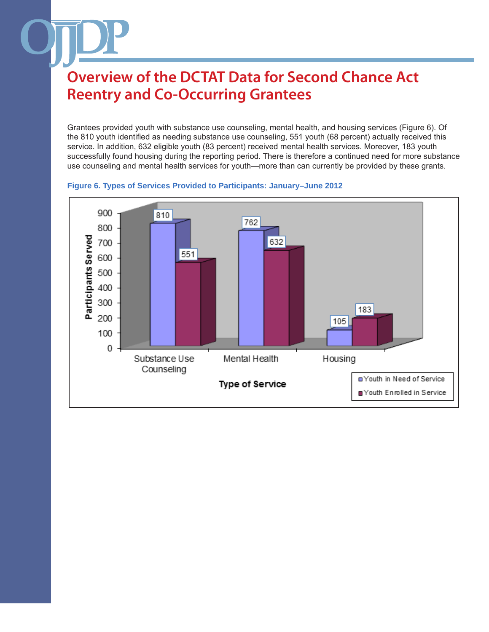Grantees provided youth with substance use counseling, mental health, and housing services (Figure 6). Of the 810 youth identified as needing substance use counseling, 551 youth (68 percent) actually received this service. In addition, 632 eligible youth (83 percent) received mental health services. Moreover, 183 youth successfully found housing during the reporting period. There is therefore a continued need for more substance use counseling and mental health services for youth—more than can currently be provided by these grants.



**Figure 6. Types of Services Provided to Participants: January–June 2012**